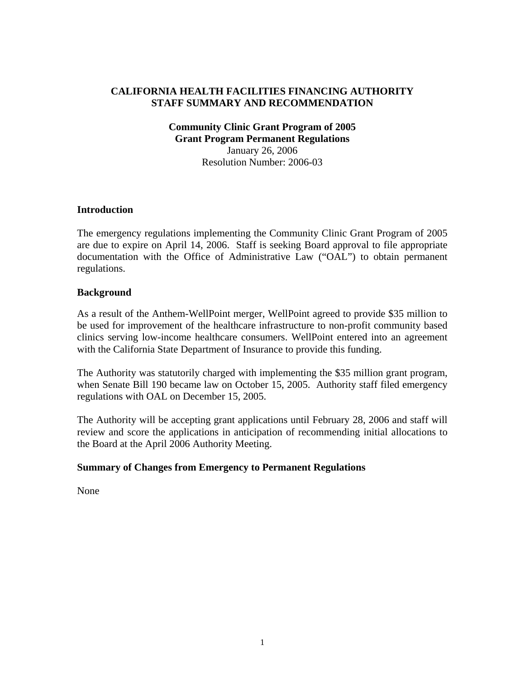## **CALIFORNIA HEALTH FACILITIES FINANCING AUTHORITY STAFF SUMMARY AND RECOMMENDATION**

#### **Community Clinic Grant Program of 2005 Grant Program Permanent Regulations** January 26, 2006 Resolution Number: 2006-03

### **Introduction**

The emergency regulations implementing the Community Clinic Grant Program of 2005 are due to expire on April 14, 2006. Staff is seeking Board approval to file appropriate documentation with the Office of Administrative Law ("OAL") to obtain permanent regulations.

#### **Background**

As a result of the Anthem-WellPoint merger, WellPoint agreed to provide \$35 million to be used for improvement of the healthcare infrastructure to non-profit community based clinics serving low-income healthcare consumers. WellPoint entered into an agreement with the California State Department of Insurance to provide this funding.

The Authority was statutorily charged with implementing the \$35 million grant program, when Senate Bill 190 became law on October 15, 2005. Authority staff filed emergency regulations with OAL on December 15, 2005.

The Authority will be accepting grant applications until February 28, 2006 and staff will review and score the applications in anticipation of recommending initial allocations to the Board at the April 2006 Authority Meeting.

#### **Summary of Changes from Emergency to Permanent Regulations**

None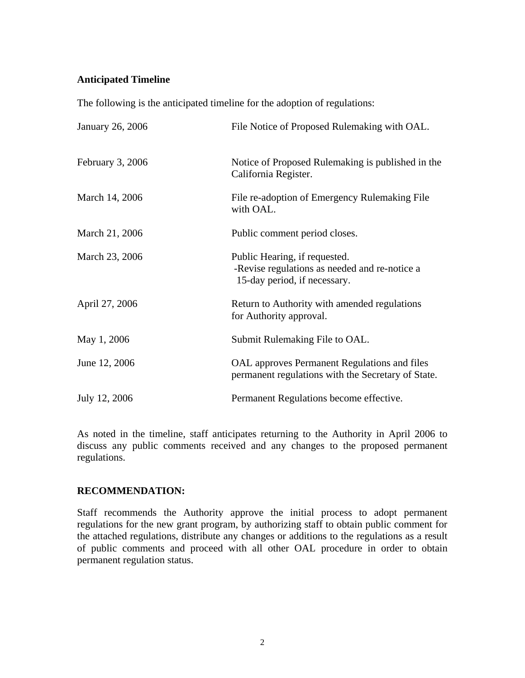### **Anticipated Timeline**

The following is the anticipated timeline for the adoption of regulations:

| January 26, 2006 | File Notice of Proposed Rulemaking with OAL.                                                                   |
|------------------|----------------------------------------------------------------------------------------------------------------|
| February 3, 2006 | Notice of Proposed Rulemaking is published in the<br>California Register.                                      |
| March 14, 2006   | File re-adoption of Emergency Rulemaking File<br>with OAL.                                                     |
| March 21, 2006   | Public comment period closes.                                                                                  |
| March 23, 2006   | Public Hearing, if requested.<br>-Revise regulations as needed and re-notice a<br>15-day period, if necessary. |
| April 27, 2006   | Return to Authority with amended regulations<br>for Authority approval.                                        |
| May 1, 2006      | Submit Rulemaking File to OAL.                                                                                 |
| June 12, 2006    | OAL approves Permanent Regulations and files<br>permanent regulations with the Secretary of State.             |
| July 12, 2006    | Permanent Regulations become effective.                                                                        |

As noted in the timeline, staff anticipates returning to the Authority in April 2006 to discuss any public comments received and any changes to the proposed permanent regulations.

### **RECOMMENDATION:**

Staff recommends the Authority approve the initial process to adopt permanent regulations for the new grant program, by authorizing staff to obtain public comment for the attached regulations, distribute any changes or additions to the regulations as a result of public comments and proceed with all other OAL procedure in order to obtain permanent regulation status.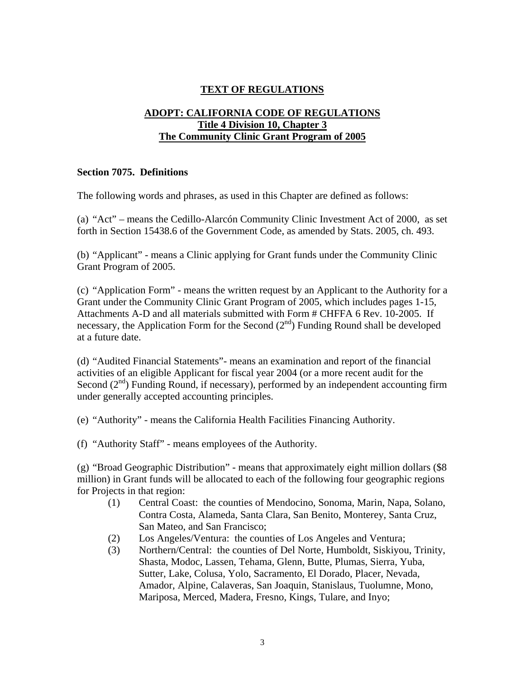# **TEXT OF REGULATIONS**

# **ADOPT: CALIFORNIA CODE OF REGULATIONS Title 4 Division 10, Chapter 3 The Community Clinic Grant Program of 2005**

### **Section 7075. Definitions**

The following words and phrases, as used in this Chapter are defined as follows:

(a) "Act" – means the Cedillo-Alarcón Community Clinic Investment Act of 2000, as set forth in Section 15438.6 of the Government Code, as amended by Stats. 2005, ch. 493.

(b) "Applicant" - means a Clinic applying for Grant funds under the Community Clinic Grant Program of 2005.

(c) "Application Form" - means the written request by an Applicant to the Authority for a Grant under the Community Clinic Grant Program of 2005, which includes pages 1-15, Attachments A-D and all materials submitted with Form # CHFFA 6 Rev. 10-2005. If necessary, the Application Form for the Second  $(2<sup>nd</sup>)$  Funding Round shall be developed at a future date.

(d) "Audited Financial Statements"- means an examination and report of the financial activities of an eligible Applicant for fiscal year 2004 (or a more recent audit for the Second  $(2<sup>nd</sup>)$  Funding Round, if necessary), performed by an independent accounting firm under generally accepted accounting principles.

(e) "Authority" - means the California Health Facilities Financing Authority.

(f) "Authority Staff" - means employees of the Authority.

 $(g)$  "Broad Geographic Distribution" - means that approximately eight million dollars (\$8) million) in Grant funds will be allocated to each of the following four geographic regions for Projects in that region:

- (1) Central Coast: the counties of Mendocino, Sonoma, Marin, Napa, Solano, Contra Costa, Alameda, Santa Clara, San Benito, Monterey, Santa Cruz, San Mateo, and San Francisco;
- (2) Los Angeles/Ventura: the counties of Los Angeles and Ventura;
- (3) Northern/Central: the counties of Del Norte, Humboldt, Siskiyou, Trinity, Shasta, Modoc, Lassen, Tehama, Glenn, Butte, Plumas, Sierra, Yuba, Sutter, Lake, Colusa, Yolo, Sacramento, El Dorado, Placer, Nevada, Amador, Alpine, Calaveras, San Joaquin, Stanislaus, Tuolumne, Mono, Mariposa, Merced, Madera, Fresno, Kings, Tulare, and Inyo;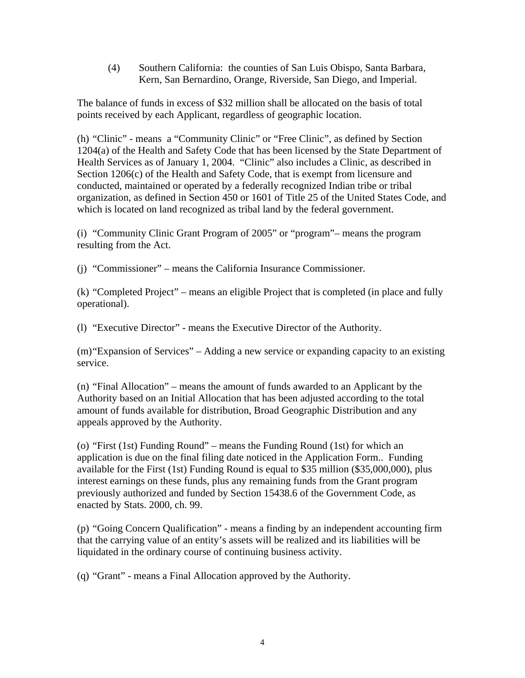(4) Southern California: the counties of San Luis Obispo, Santa Barbara, Kern, San Bernardino, Orange, Riverside, San Diego, and Imperial.

The balance of funds in excess of \$32 million shall be allocated on the basis of total points received by each Applicant, regardless of geographic location.

(h) "Clinic" - means a "Community Clinic" or "Free Clinic", as defined by Section 1204(a) of the Health and Safety Code that has been licensed by the State Department of Health Services as of January 1, 2004. "Clinic" also includes a Clinic, as described in Section 1206(c) of the Health and Safety Code, that is exempt from licensure and conducted, maintained or operated by a federally recognized Indian tribe or tribal organization, as defined in Section 450 or 1601 of Title 25 of the United States Code, and which is located on land recognized as tribal land by the federal government.

(i) "Community Clinic Grant Program of 2005" or "program"– means the program resulting from the Act.

(j) "Commissioner" – means the California Insurance Commissioner.

(k) "Completed Project" – means an eligible Project that is completed (in place and fully operational).

(l) "Executive Director" - means the Executive Director of the Authority.

(m)"Expansion of Services" – Adding a new service or expanding capacity to an existing service.

(n) "Final Allocation" – means the amount of funds awarded to an Applicant by the Authority based on an Initial Allocation that has been adjusted according to the total amount of funds available for distribution, Broad Geographic Distribution and any appeals approved by the Authority.

(o) "First (1st) Funding Round" – means the Funding Round (1st) for which an application is due on the final filing date noticed in the Application Form.. Funding available for the First (1st) Funding Round is equal to \$35 million (\$35,000,000), plus interest earnings on these funds, plus any remaining funds from the Grant program previously authorized and funded by Section 15438.6 of the Government Code, as enacted by Stats. 2000, ch. 99.

(p) "Going Concern Qualification" - means a finding by an independent accounting firm that the carrying value of an entity's assets will be realized and its liabilities will be liquidated in the ordinary course of continuing business activity.

(q) "Grant" - means a Final Allocation approved by the Authority.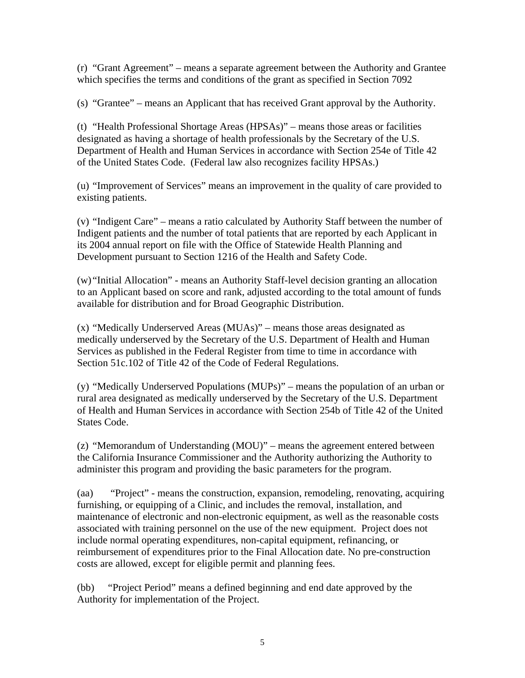(r) "Grant Agreement" – means a separate agreement between the Authority and Grantee which specifies the terms and conditions of the grant as specified in Section 7092

(s) "Grantee" – means an Applicant that has received Grant approval by the Authority.

(t) "Health Professional Shortage Areas (HPSAs)" – means those areas or facilities designated as having a shortage of health professionals by the Secretary of the U.S. Department of Health and Human Services in accordance with Section 254e of Title 42 of the United States Code. (Federal law also recognizes facility HPSAs.)

(u) "Improvement of Services" means an improvement in the quality of care provided to existing patients.

(v) "Indigent Care" – means a ratio calculated by Authority Staff between the number of Indigent patients and the number of total patients that are reported by each Applicant in its 2004 annual report on file with the Office of Statewide Health Planning and Development pursuant to Section 1216 of the Health and Safety Code.

(w) "Initial Allocation" - means an Authority Staff-level decision granting an allocation to an Applicant based on score and rank, adjusted according to the total amount of funds available for distribution and for Broad Geographic Distribution.

(x) "Medically Underserved Areas (MUAs)" – means those areas designated as medically underserved by the Secretary of the U.S. Department of Health and Human Services as published in the Federal Register from time to time in accordance with Section 51c.102 of Title 42 of the Code of Federal Regulations.

(y) "Medically Underserved Populations (MUPs)" – means the population of an urban or rural area designated as medically underserved by the Secretary of the U.S. Department of Health and Human Services in accordance with Section 254b of Title 42 of the United States Code.

(z) "Memorandum of Understanding (MOU)" – means the agreement entered between the California Insurance Commissioner and the Authority authorizing the Authority to administer this program and providing the basic parameters for the program.

(aa) "Project" - means the construction, expansion, remodeling, renovating, acquiring furnishing, or equipping of a Clinic, and includes the removal, installation, and maintenance of electronic and non-electronic equipment, as well as the reasonable costs associated with training personnel on the use of the new equipment. Project does not include normal operating expenditures, non-capital equipment, refinancing, or reimbursement of expenditures prior to the Final Allocation date. No pre-construction costs are allowed, except for eligible permit and planning fees.

(bb) "Project Period" means a defined beginning and end date approved by the Authority for implementation of the Project.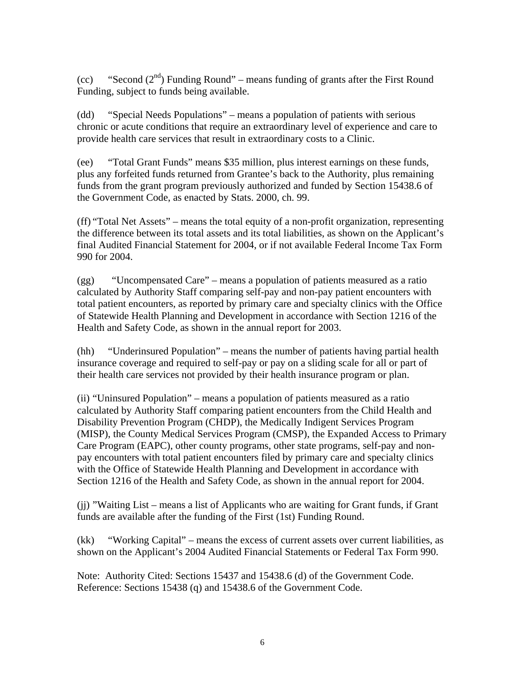(cc) "Second  $(2<sup>nd</sup>)$  Funding Round" – means funding of grants after the First Round Funding, subject to funds being available.

(dd) "Special Needs Populations" – means a population of patients with serious chronic or acute conditions that require an extraordinary level of experience and care to provide health care services that result in extraordinary costs to a Clinic.

(ee) "Total Grant Funds" means \$35 million, plus interest earnings on these funds, plus any forfeited funds returned from Grantee's back to the Authority, plus remaining funds from the grant program previously authorized and funded by Section 15438.6 of the Government Code, as enacted by Stats. 2000, ch. 99.

(ff) "Total Net Assets" – means the total equity of a non-profit organization, representing the difference between its total assets and its total liabilities, as shown on the Applicant's final Audited Financial Statement for 2004, or if not available Federal Income Tax Form 990 for 2004.

(gg) "Uncompensated Care" – means a population of patients measured as a ratio calculated by Authority Staff comparing self-pay and non-pay patient encounters with total patient encounters, as reported by primary care and specialty clinics with the Office of Statewide Health Planning and Development in accordance with Section 1216 of the Health and Safety Code, as shown in the annual report for 2003.

(hh) "Underinsured Population" – means the number of patients having partial health insurance coverage and required to self-pay or pay on a sliding scale for all or part of their health care services not provided by their health insurance program or plan.

(ii) "Uninsured Population" – means a population of patients measured as a ratio calculated by Authority Staff comparing patient encounters from the Child Health and Disability Prevention Program (CHDP), the Medically Indigent Services Program (MISP), the County Medical Services Program (CMSP), the Expanded Access to Primary Care Program (EAPC), other county programs, other state programs, self-pay and nonpay encounters with total patient encounters filed by primary care and specialty clinics with the Office of Statewide Health Planning and Development in accordance with Section 1216 of the Health and Safety Code, as shown in the annual report for 2004.

(jj) "Waiting List – means a list of Applicants who are waiting for Grant funds, if Grant funds are available after the funding of the First (1st) Funding Round.

(kk) "Working Capital" – means the excess of current assets over current liabilities, as shown on the Applicant's 2004 Audited Financial Statements or Federal Tax Form 990.

Note: Authority Cited: Sections 15437 and 15438.6 (d) of the Government Code. Reference: Sections 15438 (q) and 15438.6 of the Government Code.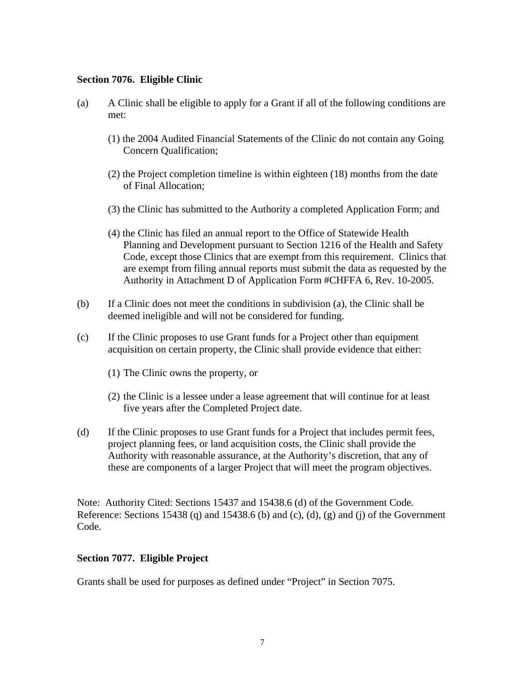#### **Section 7076. Eligible Clinic**

- (a) A Clinic shall be eligible to apply for a Grant if all of the following conditions are met:
	- (1) the 2004 Audited Financial Statements of the Clinic do not contain any Going Concern Qualification;
	- (2) the Project completion timeline is within eighteen (18) months from the date of Final Allocation;
	- (3) the Clinic has submitted to the Authority a completed Application Form; and
	- (4) the Clinic has filed an annual report to the Office of Statewide Health Planning and Development pursuant to Section 1216 of the Health and Safety Code, except those Clinics that are exempt from this requirement. Clinics that are exempt from filing annual reports must submit the data as requested by the Authority in Attachment D of Application Form #CHFFA 6, Rev. 10-2005.
- (b) If a Clinic does not meet the conditions in subdivision (a), the Clinic shall be deemed ineligible and will not be considered for funding.
- (c) If the Clinic proposes to use Grant funds for a Project other than equipment acquisition on certain property, the Clinic shall provide evidence that either:
	- (1) The Clinic owns the property, or
	- (2) the Clinic is a lessee under a lease agreement that will continue for at least five years after the Completed Project date.
- (d) If the Clinic proposes to use Grant funds for a Project that includes permit fees, project planning fees, or land acquisition costs, the Clinic shall provide the Authority with reasonable assurance, at the Authority's discretion, that any of these are components of a larger Project that will meet the program objectives.

Note: Authority Cited: Sections 15437 and 15438.6 (d) of the Government Code. Reference: Sections 15438 (q) and 15438.6 (b) and (c), (d), (g) and (j) of the Government Code.

### **Section 7077. Eligible Project**

Grants shall be used for purposes as defined under "Project" in Section 7075.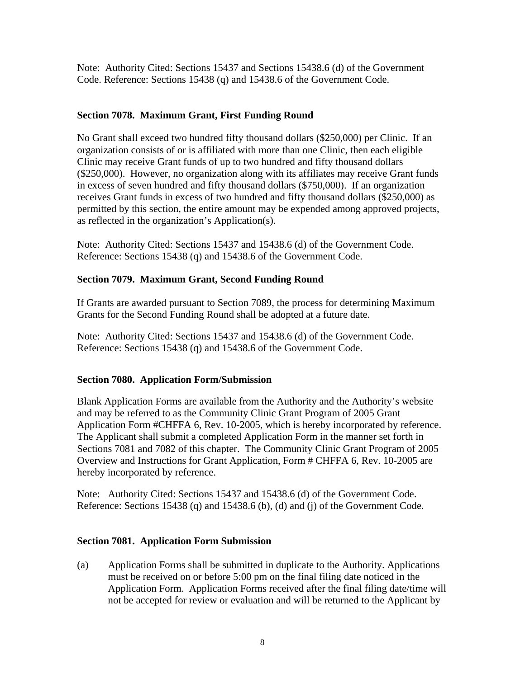Note: Authority Cited: Sections 15437 and Sections 15438.6 (d) of the Government Code. Reference: Sections 15438 (q) and 15438.6 of the Government Code.

# **Section 7078. Maximum Grant, First Funding Round**

No Grant shall exceed two hundred fifty thousand dollars (\$250,000) per Clinic. If an organization consists of or is affiliated with more than one Clinic, then each eligible Clinic may receive Grant funds of up to two hundred and fifty thousand dollars (\$250,000). However, no organization along with its affiliates may receive Grant funds in excess of seven hundred and fifty thousand dollars (\$750,000). If an organization receives Grant funds in excess of two hundred and fifty thousand dollars (\$250,000) as permitted by this section, the entire amount may be expended among approved projects, as reflected in the organization's Application(s).

Note: Authority Cited: Sections 15437 and 15438.6 (d) of the Government Code. Reference: Sections 15438 (q) and 15438.6 of the Government Code.

# **Section 7079. Maximum Grant, Second Funding Round**

If Grants are awarded pursuant to Section 7089, the process for determining Maximum Grants for the Second Funding Round shall be adopted at a future date.

Note: Authority Cited: Sections 15437 and 15438.6 (d) of the Government Code. Reference: Sections 15438 (q) and 15438.6 of the Government Code.

# **Section 7080. Application Form/Submission**

Blank Application Forms are available from the Authority and the Authority's website and may be referred to as the Community Clinic Grant Program of 2005 Grant Application Form #CHFFA 6, Rev. 10-2005, which is hereby incorporated by reference. The Applicant shall submit a completed Application Form in the manner set forth in Sections 7081 and 7082 of this chapter. The Community Clinic Grant Program of 2005 Overview and Instructions for Grant Application, Form # CHFFA 6, Rev. 10-2005 are hereby incorporated by reference.

Note: Authority Cited: Sections 15437 and 15438.6 (d) of the Government Code. Reference: Sections 15438 (q) and 15438.6 (b), (d) and (j) of the Government Code.

# **Section 7081. Application Form Submission**

(a) Application Forms shall be submitted in duplicate to the Authority. Applications must be received on or before 5:00 pm on the final filing date noticed in the Application Form. Application Forms received after the final filing date/time will not be accepted for review or evaluation and will be returned to the Applicant by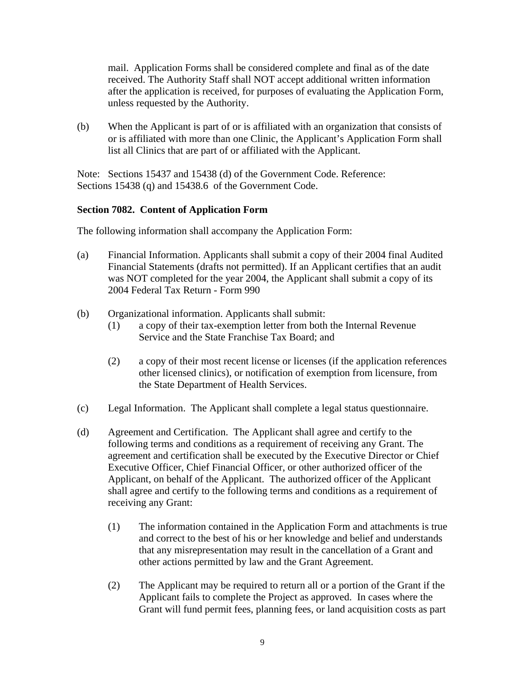mail. Application Forms shall be considered complete and final as of the date received. The Authority Staff shall NOT accept additional written information after the application is received, for purposes of evaluating the Application Form, unless requested by the Authority.

(b) When the Applicant is part of or is affiliated with an organization that consists of or is affiliated with more than one Clinic, the Applicant's Application Form shall list all Clinics that are part of or affiliated with the Applicant.

Note: Sections 15437 and 15438 (d) of the Government Code. Reference: Sections 15438 (q) and 15438.6 of the Government Code.

### **Section 7082. Content of Application Form**

The following information shall accompany the Application Form:

- (a) Financial Information. Applicants shall submit a copy of their 2004 final Audited Financial Statements (drafts not permitted). If an Applicant certifies that an audit was NOT completed for the year 2004, the Applicant shall submit a copy of its 2004 Federal Tax Return - Form 990
- (b) Organizational information. Applicants shall submit:
	- (1) a copy of their tax-exemption letter from both the Internal Revenue Service and the State Franchise Tax Board; and
	- (2) a copy of their most recent license or licenses (if the application references other licensed clinics), or notification of exemption from licensure, from the State Department of Health Services.
- (c) Legal Information. The Applicant shall complete a legal status questionnaire.
- (d) Agreement and Certification. The Applicant shall agree and certify to the following terms and conditions as a requirement of receiving any Grant. The agreement and certification shall be executed by the Executive Director or Chief Executive Officer, Chief Financial Officer, or other authorized officer of the Applicant, on behalf of the Applicant. The authorized officer of the Applicant shall agree and certify to the following terms and conditions as a requirement of receiving any Grant:
	- (1) The information contained in the Application Form and attachments is true and correct to the best of his or her knowledge and belief and understands that any misrepresentation may result in the cancellation of a Grant and other actions permitted by law and the Grant Agreement.
	- (2) The Applicant may be required to return all or a portion of the Grant if the Applicant fails to complete the Project as approved. In cases where the Grant will fund permit fees, planning fees, or land acquisition costs as part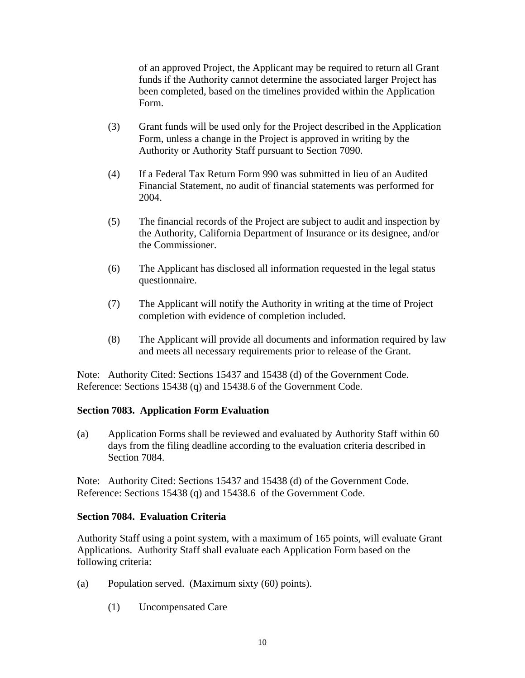of an approved Project, the Applicant may be required to return all Grant funds if the Authority cannot determine the associated larger Project has been completed, based on the timelines provided within the Application Form.

- (3) Grant funds will be used only for the Project described in the Application Form, unless a change in the Project is approved in writing by the Authority or Authority Staff pursuant to Section 7090.
- (4) If a Federal Tax Return Form 990 was submitted in lieu of an Audited Financial Statement, no audit of financial statements was performed for 2004.
- (5) The financial records of the Project are subject to audit and inspection by the Authority, California Department of Insurance or its designee, and/or the Commissioner.
- (6) The Applicant has disclosed all information requested in the legal status questionnaire.
- (7) The Applicant will notify the Authority in writing at the time of Project completion with evidence of completion included.
- (8) The Applicant will provide all documents and information required by law and meets all necessary requirements prior to release of the Grant.

Note: Authority Cited: Sections 15437 and 15438 (d) of the Government Code. Reference: Sections 15438 (q) and 15438.6 of the Government Code.

# **Section 7083. Application Form Evaluation**

(a) Application Forms shall be reviewed and evaluated by Authority Staff within 60 days from the filing deadline according to the evaluation criteria described in Section 7084.

Note: Authority Cited: Sections 15437 and 15438 (d) of the Government Code. Reference: Sections 15438 (q) and 15438.6 of the Government Code.

### **Section 7084. Evaluation Criteria**

Authority Staff using a point system, with a maximum of 165 points, will evaluate Grant Applications. Authority Staff shall evaluate each Application Form based on the following criteria:

- (a) Population served. (Maximum sixty (60) points).
	- (1) Uncompensated Care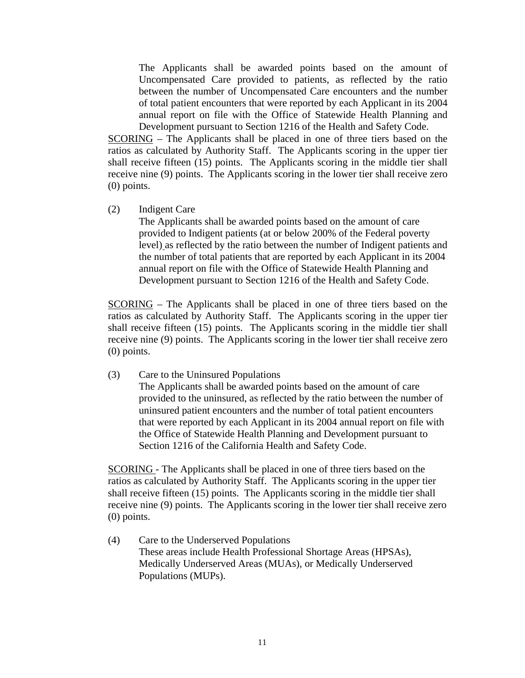The Applicants shall be awarded points based on the amount of Uncompensated Care provided to patients, as reflected by the ratio between the number of Uncompensated Care encounters and the number of total patient encounters that were reported by each Applicant in its 2004 annual report on file with the Office of Statewide Health Planning and Development pursuant to Section 1216 of the Health and Safety Code.

SCORING – The Applicants shall be placed in one of three tiers based on the ratios as calculated by Authority Staff. The Applicants scoring in the upper tier shall receive fifteen (15) points. The Applicants scoring in the middle tier shall receive nine (9) points. The Applicants scoring in the lower tier shall receive zero (0) points.

(2) Indigent Care

The Applicants shall be awarded points based on the amount of care provided to Indigent patients (at or below 200% of the Federal poverty level) as reflected by the ratio between the number of Indigent patients and the number of total patients that are reported by each Applicant in its 2004 annual report on file with the Office of Statewide Health Planning and Development pursuant to Section 1216 of the Health and Safety Code.

SCORING – The Applicants shall be placed in one of three tiers based on the ratios as calculated by Authority Staff. The Applicants scoring in the upper tier shall receive fifteen (15) points. The Applicants scoring in the middle tier shall receive nine (9) points. The Applicants scoring in the lower tier shall receive zero (0) points.

(3) Care to the Uninsured Populations

The Applicants shall be awarded points based on the amount of care provided to the uninsured, as reflected by the ratio between the number of uninsured patient encounters and the number of total patient encounters that were reported by each Applicant in its 2004 annual report on file with the Office of Statewide Health Planning and Development pursuant to Section 1216 of the California Health and Safety Code.

SCORING - The Applicants shall be placed in one of three tiers based on the ratios as calculated by Authority Staff. The Applicants scoring in the upper tier shall receive fifteen (15) points. The Applicants scoring in the middle tier shall receive nine (9) points. The Applicants scoring in the lower tier shall receive zero (0) points.

(4) Care to the Underserved Populations These areas include Health Professional Shortage Areas (HPSAs), Medically Underserved Areas (MUAs), or Medically Underserved Populations (MUPs).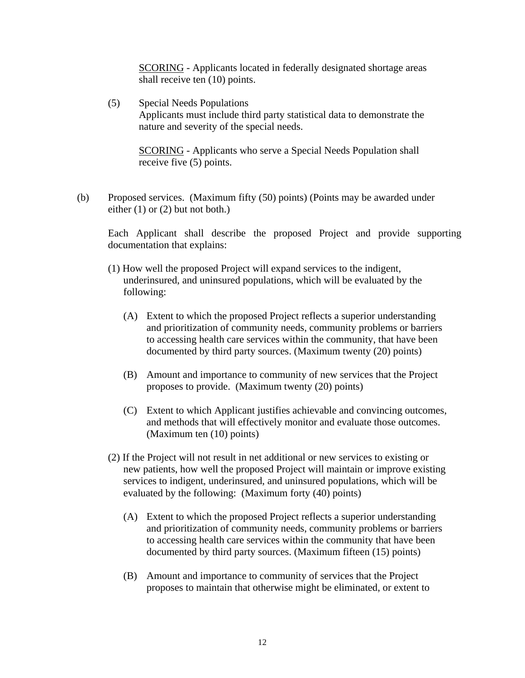SCORING - Applicants located in federally designated shortage areas shall receive ten (10) points.

(5) Special Needs Populations Applicants must include third party statistical data to demonstrate the nature and severity of the special needs.

SCORING - Applicants who serve a Special Needs Population shall receive five (5) points.

(b) Proposed services. (Maximum fifty (50) points) (Points may be awarded under either (1) or (2) but not both.)

Each Applicant shall describe the proposed Project and provide supporting documentation that explains:

- (1) How well the proposed Project will expand services to the indigent, underinsured, and uninsured populations, which will be evaluated by the following:
	- (A) Extent to which the proposed Project reflects a superior understanding and prioritization of community needs, community problems or barriers to accessing health care services within the community, that have been documented by third party sources. (Maximum twenty (20) points)
	- (B) Amount and importance to community of new services that the Project proposes to provide. (Maximum twenty (20) points)
	- (C) Extent to which Applicant justifies achievable and convincing outcomes, and methods that will effectively monitor and evaluate those outcomes. (Maximum ten (10) points)
- (2) If the Project will not result in net additional or new services to existing or new patients, how well the proposed Project will maintain or improve existing services to indigent, underinsured, and uninsured populations, which will be evaluated by the following: (Maximum forty (40) points)
	- (A) Extent to which the proposed Project reflects a superior understanding and prioritization of community needs, community problems or barriers to accessing health care services within the community that have been documented by third party sources. (Maximum fifteen (15) points)
	- (B) Amount and importance to community of services that the Project proposes to maintain that otherwise might be eliminated, or extent to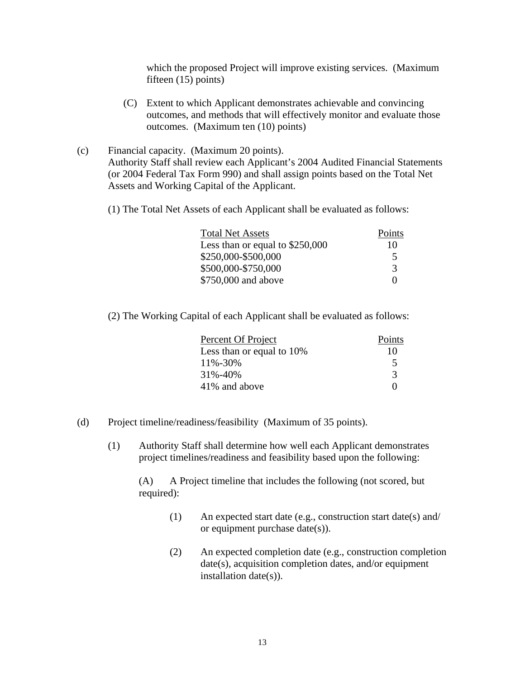which the proposed Project will improve existing services. (Maximum fifteen (15) points)

- (C) Extent to which Applicant demonstrates achievable and convincing outcomes, and methods that will effectively monitor and evaluate those outcomes. (Maximum ten (10) points)
- (c) Financial capacity. (Maximum 20 points). Authority Staff shall review each Applicant's 2004 Audited Financial Statements (or 2004 Federal Tax Form 990) and shall assign points based on the Total Net Assets and Working Capital of the Applicant.

(1) The Total Net Assets of each Applicant shall be evaluated as follows:

| <b>Total Net Assets</b>          | Points                   |
|----------------------------------|--------------------------|
| Less than or equal to $$250,000$ | 10                       |
| \$250,000-\$500,000              | $\overline{\phantom{1}}$ |
| \$500,000-\$750,000              |                          |
| \$750,000 and above              |                          |

(2) The Working Capital of each Applicant shall be evaluated as follows:

| Percent Of Project        | Points |
|---------------------------|--------|
| Less than or equal to 10% | 10     |
| 11%-30%                   |        |
| 31%-40%                   |        |
| 41% and above             |        |

- (d) Project timeline/readiness/feasibility (Maximum of 35 points).
	- (1) Authority Staff shall determine how well each Applicant demonstrates project timelines/readiness and feasibility based upon the following:

(A) A Project timeline that includes the following (not scored, but required):

- (1) An expected start date (e.g., construction start date(s) and/ or equipment purchase date(s)).
- (2) An expected completion date (e.g., construction completion date(s), acquisition completion dates, and/or equipment installation date(s)).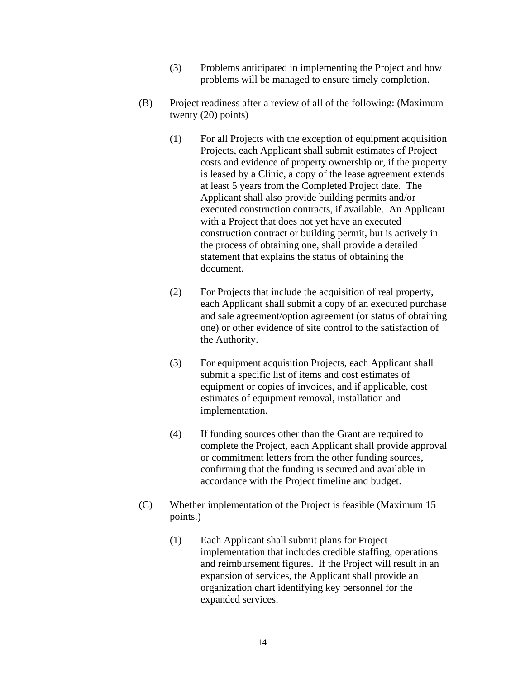- (3) Problems anticipated in implementing the Project and how problems will be managed to ensure timely completion.
- (B) Project readiness after a review of all of the following: (Maximum twenty (20) points)
	- (1) For all Projects with the exception of equipment acquisition Projects, each Applicant shall submit estimates of Project costs and evidence of property ownership or, if the property is leased by a Clinic, a copy of the lease agreement extends at least 5 years from the Completed Project date. The Applicant shall also provide building permits and/or executed construction contracts, if available. An Applicant with a Project that does not yet have an executed construction contract or building permit, but is actively in the process of obtaining one, shall provide a detailed statement that explains the status of obtaining the document.
	- (2) For Projects that include the acquisition of real property, each Applicant shall submit a copy of an executed purchase and sale agreement/option agreement (or status of obtaining one) or other evidence of site control to the satisfaction of the Authority.
	- (3) For equipment acquisition Projects, each Applicant shall submit a specific list of items and cost estimates of equipment or copies of invoices, and if applicable, cost estimates of equipment removal, installation and implementation.
	- (4) If funding sources other than the Grant are required to complete the Project, each Applicant shall provide approval or commitment letters from the other funding sources, confirming that the funding is secured and available in accordance with the Project timeline and budget.
- (C) Whether implementation of the Project is feasible (Maximum 15 points.)
	- (1) Each Applicant shall submit plans for Project implementation that includes credible staffing, operations and reimbursement figures. If the Project will result in an expansion of services, the Applicant shall provide an organization chart identifying key personnel for the expanded services.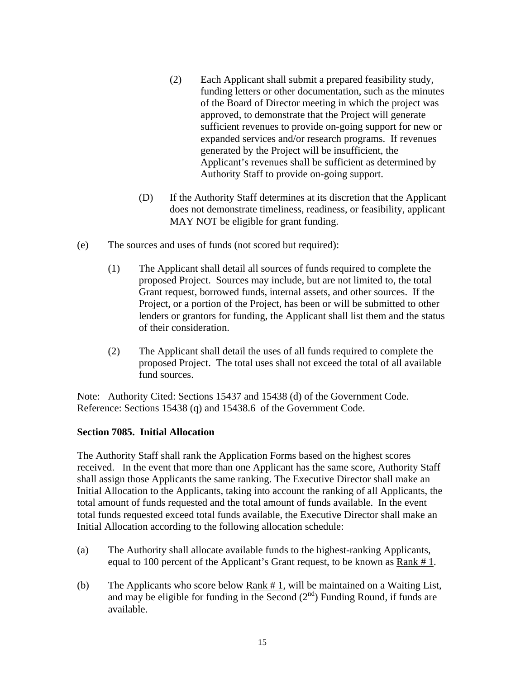- (2) Each Applicant shall submit a prepared feasibility study, funding letters or other documentation, such as the minutes of the Board of Director meeting in which the project was approved, to demonstrate that the Project will generate sufficient revenues to provide on-going support for new or expanded services and/or research programs. If revenues generated by the Project will be insufficient, the Applicant's revenues shall be sufficient as determined by Authority Staff to provide on-going support.
- (D) If the Authority Staff determines at its discretion that the Applicant does not demonstrate timeliness, readiness, or feasibility, applicant MAY NOT be eligible for grant funding.
- (e) The sources and uses of funds (not scored but required):
	- (1) The Applicant shall detail all sources of funds required to complete the proposed Project. Sources may include, but are not limited to, the total Grant request, borrowed funds, internal assets, and other sources. If the Project, or a portion of the Project, has been or will be submitted to other lenders or grantors for funding, the Applicant shall list them and the status of their consideration.
	- (2) The Applicant shall detail the uses of all funds required to complete the proposed Project. The total uses shall not exceed the total of all available fund sources.

Note: Authority Cited: Sections 15437 and 15438 (d) of the Government Code. Reference: Sections 15438 (q) and 15438.6 of the Government Code.

### **Section 7085. Initial Allocation**

The Authority Staff shall rank the Application Forms based on the highest scores received. In the event that more than one Applicant has the same score, Authority Staff shall assign those Applicants the same ranking. The Executive Director shall make an Initial Allocation to the Applicants, taking into account the ranking of all Applicants, the total amount of funds requested and the total amount of funds available. In the event total funds requested exceed total funds available, the Executive Director shall make an Initial Allocation according to the following allocation schedule:

- (a) The Authority shall allocate available funds to the highest-ranking Applicants, equal to 100 percent of the Applicant's Grant request, to be known as Rank # 1.
- (b) The Applicants who score below Rank # 1, will be maintained on a Waiting List, and may be eligible for funding in the Second  $(2<sup>nd</sup>)$  Funding Round, if funds are available.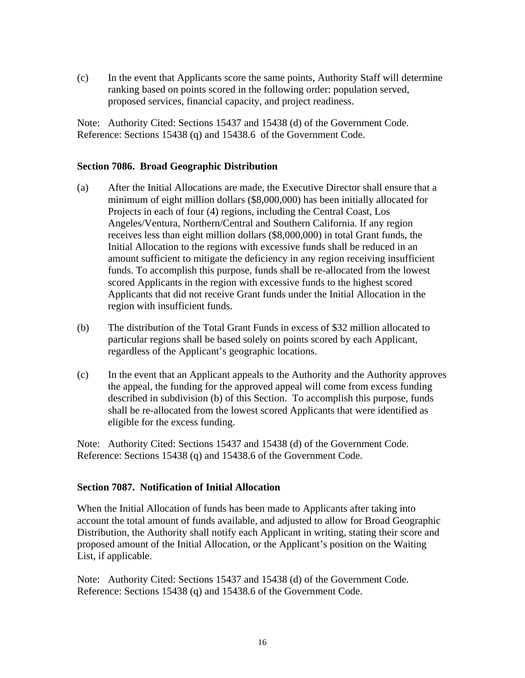(c) In the event that Applicants score the same points, Authority Staff will determine ranking based on points scored in the following order: population served, proposed services, financial capacity, and project readiness.

Note: Authority Cited: Sections 15437 and 15438 (d) of the Government Code. Reference: Sections 15438 (q) and 15438.6 of the Government Code.

### **Section 7086. Broad Geographic Distribution**

- (a) After the Initial Allocations are made, the Executive Director shall ensure that a minimum of eight million dollars (\$8,000,000) has been initially allocated for Projects in each of four (4) regions, including the Central Coast, Los Angeles/Ventura, Northern/Central and Southern California. If any region receives less than eight million dollars (\$8,000,000) in total Grant funds, the Initial Allocation to the regions with excessive funds shall be reduced in an amount sufficient to mitigate the deficiency in any region receiving insufficient funds. To accomplish this purpose, funds shall be re-allocated from the lowest scored Applicants in the region with excessive funds to the highest scored Applicants that did not receive Grant funds under the Initial Allocation in the region with insufficient funds.
- (b) The distribution of the Total Grant Funds in excess of \$32 million allocated to particular regions shall be based solely on points scored by each Applicant, regardless of the Applicant's geographic locations.
- (c) In the event that an Applicant appeals to the Authority and the Authority approves the appeal, the funding for the approved appeal will come from excess funding described in subdivision (b) of this Section. To accomplish this purpose, funds shall be re-allocated from the lowest scored Applicants that were identified as eligible for the excess funding.

Note: Authority Cited: Sections 15437 and 15438 (d) of the Government Code. Reference: Sections 15438 (q) and 15438.6 of the Government Code.

# **Section 7087. Notification of Initial Allocation**

When the Initial Allocation of funds has been made to Applicants after taking into account the total amount of funds available, and adjusted to allow for Broad Geographic Distribution, the Authority shall notify each Applicant in writing, stating their score and proposed amount of the Initial Allocation, or the Applicant's position on the Waiting List, if applicable.

Note: Authority Cited: Sections 15437 and 15438 (d) of the Government Code. Reference: Sections 15438 (q) and 15438.6 of the Government Code.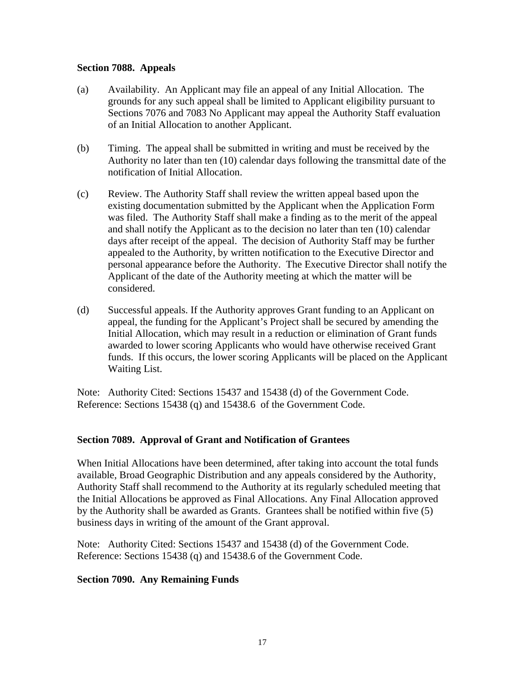### **Section 7088. Appeals**

- (a) Availability. An Applicant may file an appeal of any Initial Allocation. The grounds for any such appeal shall be limited to Applicant eligibility pursuant to Sections 7076 and 7083 No Applicant may appeal the Authority Staff evaluation of an Initial Allocation to another Applicant.
- (b) Timing. The appeal shall be submitted in writing and must be received by the Authority no later than ten (10) calendar days following the transmittal date of the notification of Initial Allocation.
- (c) Review. The Authority Staff shall review the written appeal based upon the existing documentation submitted by the Applicant when the Application Form was filed. The Authority Staff shall make a finding as to the merit of the appeal and shall notify the Applicant as to the decision no later than ten (10) calendar days after receipt of the appeal. The decision of Authority Staff may be further appealed to the Authority, by written notification to the Executive Director and personal appearance before the Authority. The Executive Director shall notify the Applicant of the date of the Authority meeting at which the matter will be considered.
- (d) Successful appeals. If the Authority approves Grant funding to an Applicant on appeal, the funding for the Applicant's Project shall be secured by amending the Initial Allocation, which may result in a reduction or elimination of Grant funds awarded to lower scoring Applicants who would have otherwise received Grant funds. If this occurs, the lower scoring Applicants will be placed on the Applicant Waiting List.

Note: Authority Cited: Sections 15437 and 15438 (d) of the Government Code. Reference: Sections 15438 (q) and 15438.6 of the Government Code.

### **Section 7089. Approval of Grant and Notification of Grantees**

When Initial Allocations have been determined, after taking into account the total funds available, Broad Geographic Distribution and any appeals considered by the Authority, Authority Staff shall recommend to the Authority at its regularly scheduled meeting that the Initial Allocations be approved as Final Allocations. Any Final Allocation approved by the Authority shall be awarded as Grants. Grantees shall be notified within five (5) business days in writing of the amount of the Grant approval.

Note: Authority Cited: Sections 15437 and 15438 (d) of the Government Code. Reference: Sections 15438 (q) and 15438.6 of the Government Code.

### **Section 7090. Any Remaining Funds**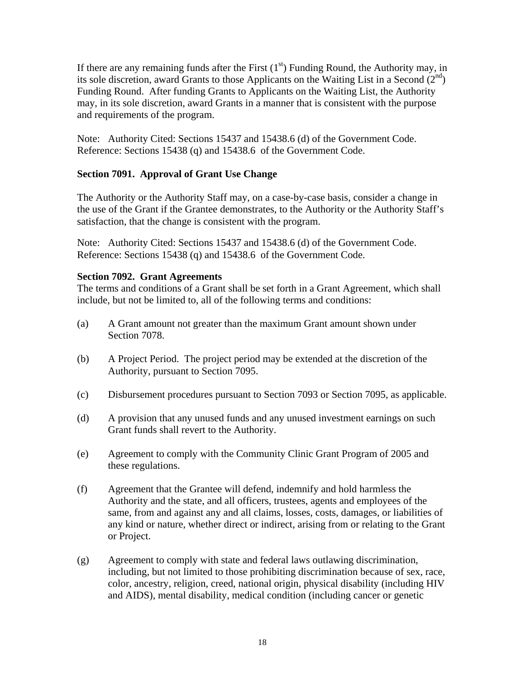If there are any remaining funds after the First  $(1<sup>st</sup>)$  Funding Round, the Authority may, in its sole discretion, award Grants to those Applicants on the Waiting List in a Second  $(2<sup>nd</sup>)$ Funding Round. After funding Grants to Applicants on the Waiting List, the Authority may, in its sole discretion, award Grants in a manner that is consistent with the purpose and requirements of the program.

Note: Authority Cited: Sections 15437 and 15438.6 (d) of the Government Code. Reference: Sections 15438 (q) and 15438.6 of the Government Code.

# **Section 7091. Approval of Grant Use Change**

The Authority or the Authority Staff may, on a case-by-case basis, consider a change in the use of the Grant if the Grantee demonstrates, to the Authority or the Authority Staff's satisfaction, that the change is consistent with the program.

Note: Authority Cited: Sections 15437 and 15438.6 (d) of the Government Code. Reference: Sections 15438 (q) and 15438.6 of the Government Code.

# **Section 7092. Grant Agreements**

The terms and conditions of a Grant shall be set forth in a Grant Agreement, which shall include, but not be limited to, all of the following terms and conditions:

- (a) A Grant amount not greater than the maximum Grant amount shown under Section 7078.
- (b) A Project Period. The project period may be extended at the discretion of the Authority, pursuant to Section 7095.
- (c) Disbursement procedures pursuant to Section 7093 or Section 7095, as applicable.
- (d) A provision that any unused funds and any unused investment earnings on such Grant funds shall revert to the Authority.
- (e) Agreement to comply with the Community Clinic Grant Program of 2005 and these regulations.
- (f) Agreement that the Grantee will defend, indemnify and hold harmless the Authority and the state, and all officers, trustees, agents and employees of the same, from and against any and all claims, losses, costs, damages, or liabilities of any kind or nature, whether direct or indirect, arising from or relating to the Grant or Project.
- (g) Agreement to comply with state and federal laws outlawing discrimination, including, but not limited to those prohibiting discrimination because of sex, race, color, ancestry, religion, creed, national origin, physical disability (including HIV and AIDS), mental disability, medical condition (including cancer or genetic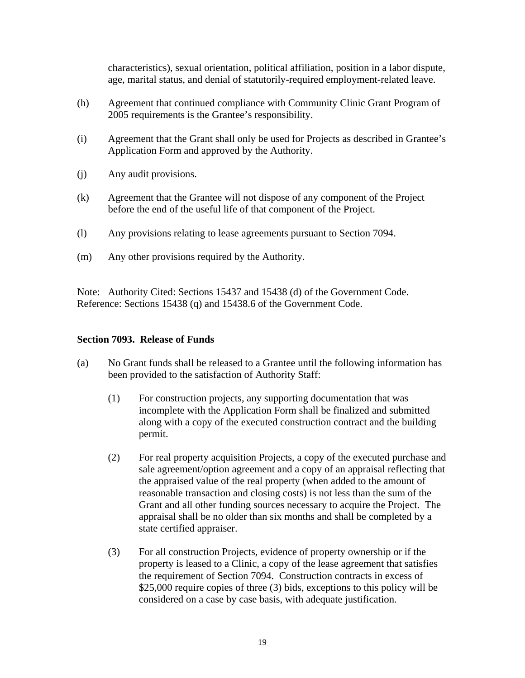characteristics), sexual orientation, political affiliation, position in a labor dispute, age, marital status, and denial of statutorily-required employment-related leave.

- (h) Agreement that continued compliance with Community Clinic Grant Program of 2005 requirements is the Grantee's responsibility.
- (i) Agreement that the Grant shall only be used for Projects as described in Grantee's Application Form and approved by the Authority.
- (j) Any audit provisions.
- (k) Agreement that the Grantee will not dispose of any component of the Project before the end of the useful life of that component of the Project.
- (l) Any provisions relating to lease agreements pursuant to Section 7094.
- (m) Any other provisions required by the Authority.

Note: Authority Cited: Sections 15437 and 15438 (d) of the Government Code. Reference: Sections 15438 (q) and 15438.6 of the Government Code.

### **Section 7093. Release of Funds**

- (a) No Grant funds shall be released to a Grantee until the following information has been provided to the satisfaction of Authority Staff:
	- (1) For construction projects, any supporting documentation that was incomplete with the Application Form shall be finalized and submitted along with a copy of the executed construction contract and the building permit.
	- (2) For real property acquisition Projects, a copy of the executed purchase and sale agreement/option agreement and a copy of an appraisal reflecting that the appraised value of the real property (when added to the amount of reasonable transaction and closing costs) is not less than the sum of the Grant and all other funding sources necessary to acquire the Project. The appraisal shall be no older than six months and shall be completed by a state certified appraiser.
	- (3) For all construction Projects, evidence of property ownership or if the property is leased to a Clinic, a copy of the lease agreement that satisfies the requirement of Section 7094. Construction contracts in excess of \$25,000 require copies of three (3) bids, exceptions to this policy will be considered on a case by case basis, with adequate justification.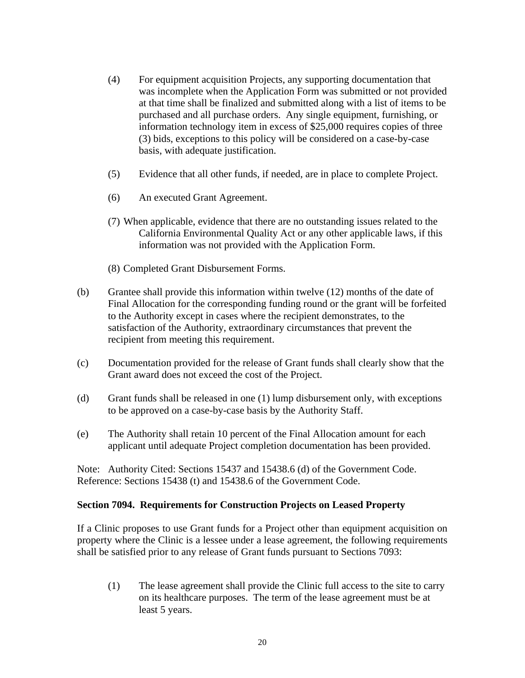- (4) For equipment acquisition Projects, any supporting documentation that was incomplete when the Application Form was submitted or not provided at that time shall be finalized and submitted along with a list of items to be purchased and all purchase orders. Any single equipment, furnishing, or information technology item in excess of \$25,000 requires copies of three (3) bids, exceptions to this policy will be considered on a case-by-case basis, with adequate justification.
- (5) Evidence that all other funds, if needed, are in place to complete Project.
- (6) An executed Grant Agreement.
- (7) When applicable, evidence that there are no outstanding issues related to the California Environmental Quality Act or any other applicable laws, if this information was not provided with the Application Form.
- (8) Completed Grant Disbursement Forms.
- (b) Grantee shall provide this information within twelve (12) months of the date of Final Allocation for the corresponding funding round or the grant will be forfeited to the Authority except in cases where the recipient demonstrates, to the satisfaction of the Authority, extraordinary circumstances that prevent the recipient from meeting this requirement.
- (c) Documentation provided for the release of Grant funds shall clearly show that the Grant award does not exceed the cost of the Project.
- (d) Grant funds shall be released in one (1) lump disbursement only, with exceptions to be approved on a case-by-case basis by the Authority Staff.
- (e) The Authority shall retain 10 percent of the Final Allocation amount for each applicant until adequate Project completion documentation has been provided.

Note: Authority Cited: Sections 15437 and 15438.6 (d) of the Government Code. Reference: Sections 15438 (t) and 15438.6 of the Government Code.

### **Section 7094. Requirements for Construction Projects on Leased Property**

If a Clinic proposes to use Grant funds for a Project other than equipment acquisition on property where the Clinic is a lessee under a lease agreement, the following requirements shall be satisfied prior to any release of Grant funds pursuant to Sections 7093:

(1) The lease agreement shall provide the Clinic full access to the site to carry on its healthcare purposes. The term of the lease agreement must be at least 5 years.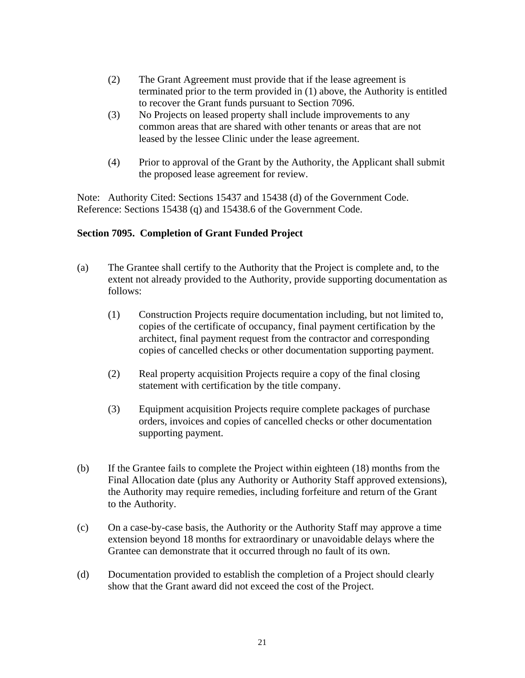- (2) The Grant Agreement must provide that if the lease agreement is terminated prior to the term provided in (1) above, the Authority is entitled to recover the Grant funds pursuant to Section 7096.
- (3) No Projects on leased property shall include improvements to any common areas that are shared with other tenants or areas that are not leased by the lessee Clinic under the lease agreement.
- (4) Prior to approval of the Grant by the Authority, the Applicant shall submit the proposed lease agreement for review.

Note: Authority Cited: Sections 15437 and 15438 (d) of the Government Code. Reference: Sections 15438 (q) and 15438.6 of the Government Code.

# **Section 7095. Completion of Grant Funded Project**

- (a) The Grantee shall certify to the Authority that the Project is complete and, to the extent not already provided to the Authority, provide supporting documentation as follows:
	- (1) Construction Projects require documentation including, but not limited to, copies of the certificate of occupancy, final payment certification by the architect, final payment request from the contractor and corresponding copies of cancelled checks or other documentation supporting payment.
	- (2) Real property acquisition Projects require a copy of the final closing statement with certification by the title company.
	- (3) Equipment acquisition Projects require complete packages of purchase orders, invoices and copies of cancelled checks or other documentation supporting payment.
- (b) If the Grantee fails to complete the Project within eighteen (18) months from the Final Allocation date (plus any Authority or Authority Staff approved extensions), the Authority may require remedies, including forfeiture and return of the Grant to the Authority.
- (c) On a case-by-case basis, the Authority or the Authority Staff may approve a time extension beyond 18 months for extraordinary or unavoidable delays where the Grantee can demonstrate that it occurred through no fault of its own.
- (d) Documentation provided to establish the completion of a Project should clearly show that the Grant award did not exceed the cost of the Project.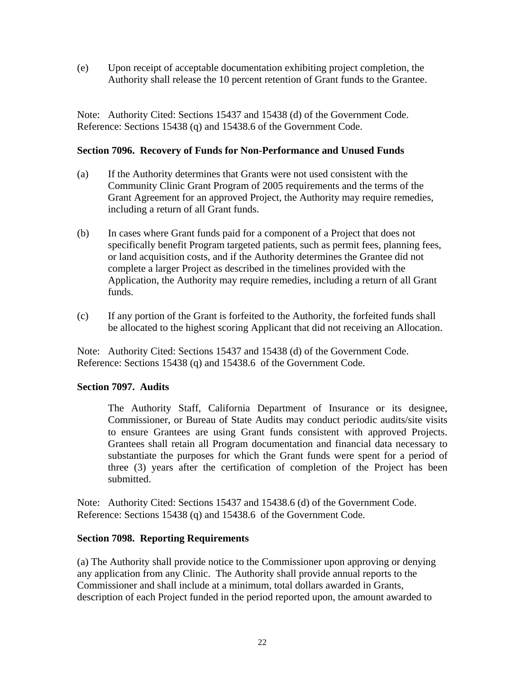(e) Upon receipt of acceptable documentation exhibiting project completion, the Authority shall release the 10 percent retention of Grant funds to the Grantee.

Note: Authority Cited: Sections 15437 and 15438 (d) of the Government Code. Reference: Sections 15438 (q) and 15438.6 of the Government Code.

### **Section 7096. Recovery of Funds for Non-Performance and Unused Funds**

- (a) If the Authority determines that Grants were not used consistent with the Community Clinic Grant Program of 2005 requirements and the terms of the Grant Agreement for an approved Project, the Authority may require remedies, including a return of all Grant funds.
- (b) In cases where Grant funds paid for a component of a Project that does not specifically benefit Program targeted patients, such as permit fees, planning fees, or land acquisition costs, and if the Authority determines the Grantee did not complete a larger Project as described in the timelines provided with the Application, the Authority may require remedies, including a return of all Grant funds.
- (c) If any portion of the Grant is forfeited to the Authority, the forfeited funds shall be allocated to the highest scoring Applicant that did not receiving an Allocation.

Note: Authority Cited: Sections 15437 and 15438 (d) of the Government Code. Reference: Sections 15438 (q) and 15438.6 of the Government Code.

### **Section 7097. Audits**

The Authority Staff, California Department of Insurance or its designee, Commissioner, or Bureau of State Audits may conduct periodic audits/site visits to ensure Grantees are using Grant funds consistent with approved Projects. Grantees shall retain all Program documentation and financial data necessary to substantiate the purposes for which the Grant funds were spent for a period of three (3) years after the certification of completion of the Project has been submitted.

Note: Authority Cited: Sections 15437 and 15438.6 (d) of the Government Code. Reference: Sections 15438 (q) and 15438.6 of the Government Code.

### **Section 7098. Reporting Requirements**

(a) The Authority shall provide notice to the Commissioner upon approving or denying any application from any Clinic. The Authority shall provide annual reports to the Commissioner and shall include at a minimum, total dollars awarded in Grants, description of each Project funded in the period reported upon, the amount awarded to